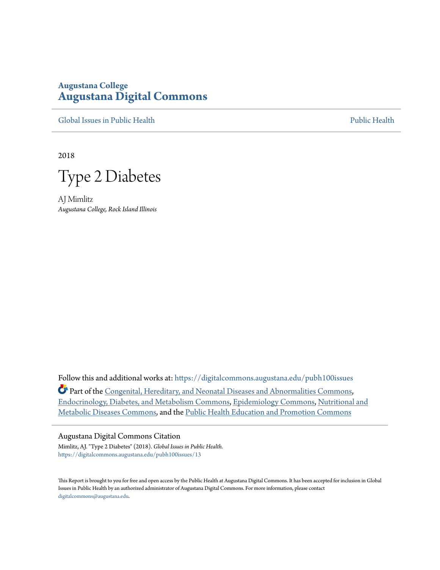# **Augustana College [Augustana Digital Commons](https://digitalcommons.augustana.edu?utm_source=digitalcommons.augustana.edu%2Fpubh100issues%2F13&utm_medium=PDF&utm_campaign=PDFCoverPages)**

[Global Issues in Public Health](https://digitalcommons.augustana.edu/pubh100issues?utm_source=digitalcommons.augustana.edu%2Fpubh100issues%2F13&utm_medium=PDF&utm_campaign=PDFCoverPages) [Public Health](https://digitalcommons.augustana.edu/publichealth?utm_source=digitalcommons.augustana.edu%2Fpubh100issues%2F13&utm_medium=PDF&utm_campaign=PDFCoverPages) Public Health Public Health Public Health

2018

Type 2 Diabetes

AJ Mimlitz *Augustana College, Rock Island Illinois*

Follow this and additional works at: [https://digitalcommons.augustana.edu/pubh100issues](https://digitalcommons.augustana.edu/pubh100issues?utm_source=digitalcommons.augustana.edu%2Fpubh100issues%2F13&utm_medium=PDF&utm_campaign=PDFCoverPages) Part of the [Congenital, Hereditary, and Neonatal Diseases and Abnormalities Commons,](http://network.bepress.com/hgg/discipline/971?utm_source=digitalcommons.augustana.edu%2Fpubh100issues%2F13&utm_medium=PDF&utm_campaign=PDFCoverPages) [Endocrinology, Diabetes, and Metabolism Commons,](http://network.bepress.com/hgg/discipline/686?utm_source=digitalcommons.augustana.edu%2Fpubh100issues%2F13&utm_medium=PDF&utm_campaign=PDFCoverPages) [Epidemiology Commons,](http://network.bepress.com/hgg/discipline/740?utm_source=digitalcommons.augustana.edu%2Fpubh100issues%2F13&utm_medium=PDF&utm_campaign=PDFCoverPages) [Nutritional and](http://network.bepress.com/hgg/discipline/1003?utm_source=digitalcommons.augustana.edu%2Fpubh100issues%2F13&utm_medium=PDF&utm_campaign=PDFCoverPages) [Metabolic Diseases Commons](http://network.bepress.com/hgg/discipline/1003?utm_source=digitalcommons.augustana.edu%2Fpubh100issues%2F13&utm_medium=PDF&utm_campaign=PDFCoverPages), and the [Public Health Education and Promotion Commons](http://network.bepress.com/hgg/discipline/743?utm_source=digitalcommons.augustana.edu%2Fpubh100issues%2F13&utm_medium=PDF&utm_campaign=PDFCoverPages)

# Augustana Digital Commons Citation

Mimlitz, AJ. "Type 2 Diabetes" (2018). *Global Issues in Public Health.* [https://digitalcommons.augustana.edu/pubh100issues/13](https://digitalcommons.augustana.edu/pubh100issues/13?utm_source=digitalcommons.augustana.edu%2Fpubh100issues%2F13&utm_medium=PDF&utm_campaign=PDFCoverPages)

This Report is brought to you for free and open access by the Public Health at Augustana Digital Commons. It has been accepted for inclusion in Global Issues in Public Health by an authorized administrator of Augustana Digital Commons. For more information, please contact [digitalcommons@augustana.edu.](mailto:digitalcommons@augustana.edu)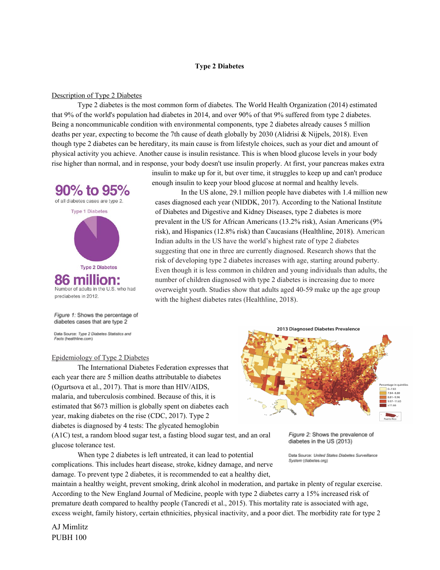### **Type 2 Diabetes**

## Description of Type 2 Diabetes

Type 2 diabetes is the most common form of diabetes. The World Health Organization (2014) estimated that 9% of the world's population had diabetes in 2014, and over 90% of that 9% suffered from type 2 diabetes. Being a noncommunicable condition with environmental components, type 2 diabetes already causes 5 million deaths per year, expecting to become the 7th cause of death globally by 2030 (Alidrisi & Nijpels, 2018). Even though type 2 diabetes can be hereditary, its main cause is from lifestyle choices, such as your diet and amount of physical activity you achieve. Another cause is insulin resistance. This is when blood glucose levels in your body rise higher than normal, and in response, your body doesn't use insulin properly. At first, your pancreas makes extra

insulin to make up for it, but over time, it struggles to keep up and can't produce

cases diagnosed each year (NIDDK, 2017). According to the National Institute of Diabetes and Digestive and Kidney Diseases, type 2 diabetes is more

prevalent in the US for African Americans (13.2% risk), Asian Americans (9% risk), and Hispanics (12.8% risk) than Caucasians (Healthline, 2018). American

In the US alone, 29.1 million people have diabetes with 1.4 million new

enough insulin to keep your blood glucose at normal and healthy levels.

Indian adults in the US have the world's highest rate of type 2 diabetes suggesting that one in three are currently diagnosed. Research shows that the risk of developing type 2 diabetes increases with age, starting around puberty. Even though it is less common in children and young individuals than adults, the number of children diagnosed with type 2 diabetes is increasing due to more overweight youth. Studies show that adults aged 40-59 make up the age group

with the highest diabetes rates (Healthline, 2018).



#### Figure 1: Shows the percentage of diabetes cases that are type 2

Data Source: Type 2 Diabetes Statistics and Facts (healthline.com)

### Epidemiology of Type 2 Diabetes

The International Diabetes Federation expresses that each year there are 5 million deaths attributable to diabetes (Ogurtsova et al., 2017). That is more than HIV/AIDS, malaria, and tuberculosis combined. Because of this, it is estimated that \$673 million is globally spent on diabetes each year, making diabetes on the rise (CDC, 2017). Type 2 diabetes is diagnosed by 4 tests: The glycated hemoglobin

(A1C) test, a random blood sugar test, a fasting blood sugar test, and an oral glucose tolerance test.

When type 2 diabetes is left untreated, it can lead to potential complications. This includes heart disease, stroke, kidney damage, and nerve damage. To prevent type 2 diabetes, it is recommended to eat a healthy diet,



Figure 2: Shows the prevalence of diabetes in the US (2013)

Data Source: United States Diabetes Surveillance System (diabetes.org)

maintain a healthy weight, prevent smoking, drink alcohol in moderation, and partake in plenty of regular exercise. According to the New England Journal of Medicine, people with type 2 diabetes carry a 15% increased risk of premature death compared to healthy people (Tancredi et al., 2015). This mortality rate is associated with age, excess weight, family history, certain ethnicities, physical inactivity, and a poor diet. The morbidity rate for type 2

AJ Mimlitz PUBH 100